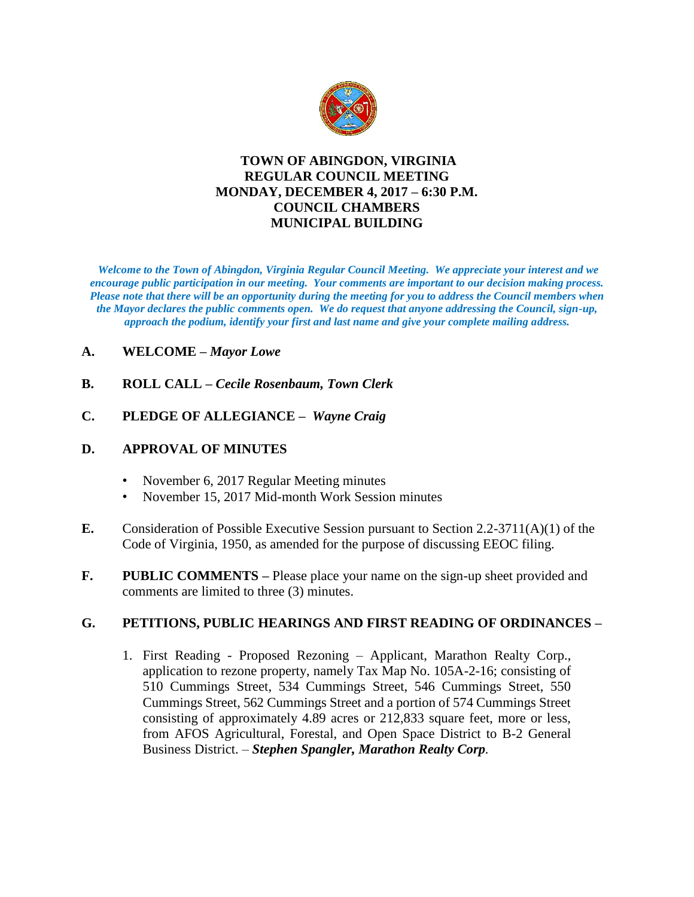

# **TOWN OF ABINGDON, VIRGINIA REGULAR COUNCIL MEETING MONDAY, DECEMBER 4, 2017 – 6:30 P.M. COUNCIL CHAMBERS MUNICIPAL BUILDING**

*Welcome to the Town of Abingdon, Virginia Regular Council Meeting. We appreciate your interest and we encourage public participation in our meeting. Your comments are important to our decision making process. Please note that there will be an opportunity during the meeting for you to address the Council members when the Mayor declares the public comments open. We do request that anyone addressing the Council, sign-up, approach the podium, identify your first and last name and give your complete mailing address.* 

# **A. WELCOME –** *Mayor Lowe*

- **B. ROLL CALL –** *Cecile Rosenbaum, Town Clerk*
- **C. PLEDGE OF ALLEGIANCE** *Wayne Craig*

### **D. APPROVAL OF MINUTES**

- November 6, 2017 Regular Meeting minutes
- November 15, 2017 Mid-month Work Session minutes
- **E.** Consideration of Possible Executive Session pursuant to Section 2.2-3711(A)(1) of the Code of Virginia, 1950, as amended for the purpose of discussing EEOC filing.
- **F. PUBLIC COMMENTS –** Please place your name on the sign-up sheet provided and comments are limited to three (3) minutes.

#### **G. PETITIONS, PUBLIC HEARINGS AND FIRST READING OF ORDINANCES –**

1. First Reading - Proposed Rezoning – Applicant, Marathon Realty Corp., application to rezone property, namely Tax Map No. 105A-2-16; consisting of 510 Cummings Street, 534 Cummings Street, 546 Cummings Street, 550 Cummings Street, 562 Cummings Street and a portion of 574 Cummings Street consisting of approximately 4.89 acres or 212,833 square feet, more or less, from AFOS Agricultural, Forestal, and Open Space District to B-2 General Business District. – *Stephen Spangler, Marathon Realty Corp.*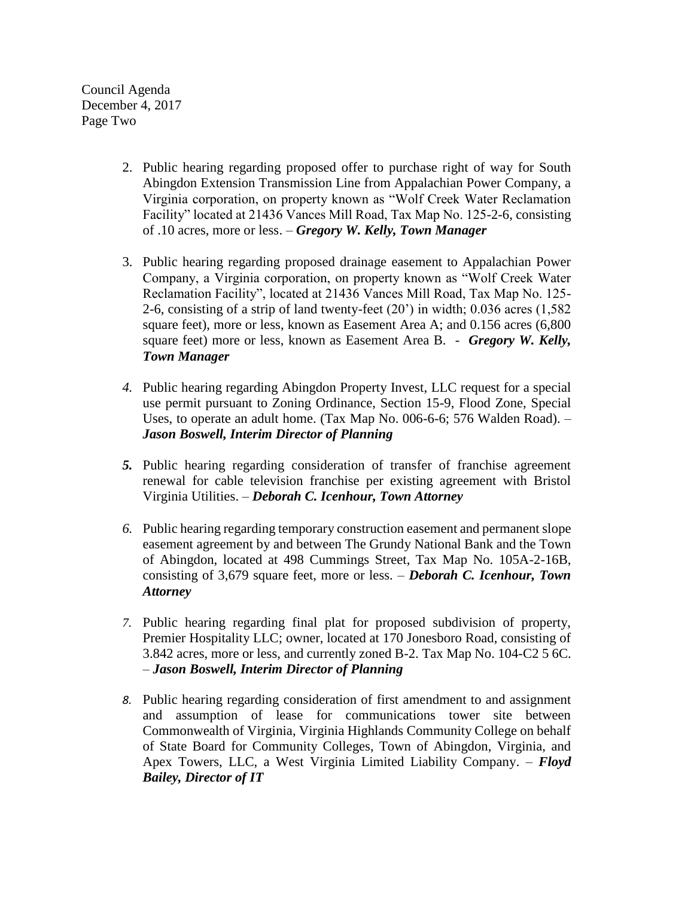Council Agenda December 4, 2017 Page Two

- 2. Public hearing regarding proposed offer to purchase right of way for South Abingdon Extension Transmission Line from Appalachian Power Company, a Virginia corporation, on property known as "Wolf Creek Water Reclamation Facility" located at 21436 Vances Mill Road, Tax Map No. 125-2-6, consisting of .10 acres, more or less. – *Gregory W. Kelly, Town Manager*
- 3. Public hearing regarding proposed drainage easement to Appalachian Power Company, a Virginia corporation, on property known as "Wolf Creek Water Reclamation Facility", located at 21436 Vances Mill Road, Tax Map No. 125- 2-6, consisting of a strip of land twenty-feet (20') in width; 0.036 acres (1,582 square feet), more or less, known as Easement Area A; and 0.156 acres (6,800 square feet) more or less, known as Easement Area B. - *Gregory W. Kelly, Town Manager*
- *4.* Public hearing regarding Abingdon Property Invest, LLC request for a special use permit pursuant to Zoning Ordinance, Section 15-9, Flood Zone, Special Uses, to operate an adult home. (Tax Map No. 006-6-6; 576 Walden Road). – *Jason Boswell, Interim Director of Planning*
- *5.* Public hearing regarding consideration of transfer of franchise agreement renewal for cable television franchise per existing agreement with Bristol Virginia Utilities. – *Deborah C. Icenhour, Town Attorney*
- *6.* Public hearing regarding temporary construction easement and permanent slope easement agreement by and between The Grundy National Bank and the Town of Abingdon, located at 498 Cummings Street, Tax Map No. 105A-2-16B, consisting of 3,679 square feet, more or less. – *Deborah C. Icenhour, Town Attorney*
- *7.* Public hearing regarding final plat for proposed subdivision of property, Premier Hospitality LLC; owner, located at 170 Jonesboro Road, consisting of 3.842 acres, more or less, and currently zoned B-2. Tax Map No. 104-C2 5 6C. – *Jason Boswell, Interim Director of Planning*
- *8.* Public hearing regarding consideration of first amendment to and assignment and assumption of lease for communications tower site between Commonwealth of Virginia, Virginia Highlands Community College on behalf of State Board for Community Colleges, Town of Abingdon, Virginia, and Apex Towers, LLC, a West Virginia Limited Liability Company. – *Floyd Bailey, Director of IT*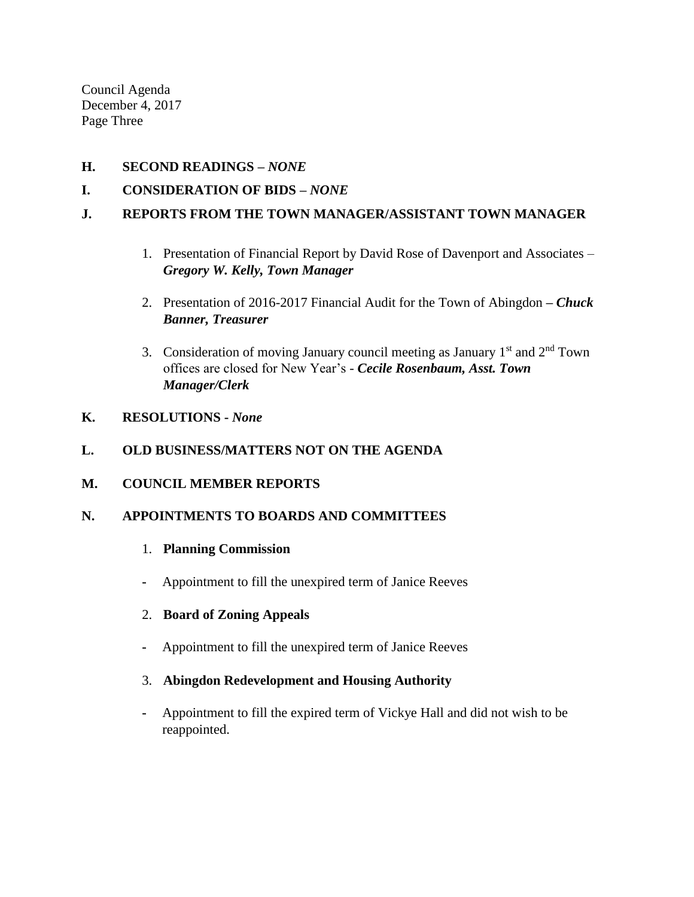Council Agenda December 4, 2017 Page Three

### **H. SECOND READINGS –** *NONE*

# **I. CONSIDERATION OF BIDS –** *NONE*

### **J. REPORTS FROM THE TOWN MANAGER/ASSISTANT TOWN MANAGER**

- 1. Presentation of Financial Report by David Rose of Davenport and Associates *Gregory W. Kelly, Town Manager*
- 2. Presentation of 2016-2017 Financial Audit for the Town of Abingdon *– Chuck Banner, Treasurer*
- 3. Consideration of moving January council meeting as January  $1<sup>st</sup>$  and  $2<sup>nd</sup>$  Town offices are closed for New Year's - *Cecile Rosenbaum, Asst. Town Manager/Clerk*

#### **K. RESOLUTIONS -** *None*

### **L. OLD BUSINESS/MATTERS NOT ON THE AGENDA**

#### **M. COUNCIL MEMBER REPORTS**

#### **N. APPOINTMENTS TO BOARDS AND COMMITTEES**

#### 1. **Planning Commission**

- **-** Appointment to fill the unexpired term of Janice Reeves
- 2. **Board of Zoning Appeals**
- **-** Appointment to fill the unexpired term of Janice Reeves
- 3. **Abingdon Redevelopment and Housing Authority**
- **-** Appointment to fill the expired term of Vickye Hall and did not wish to be reappointed.